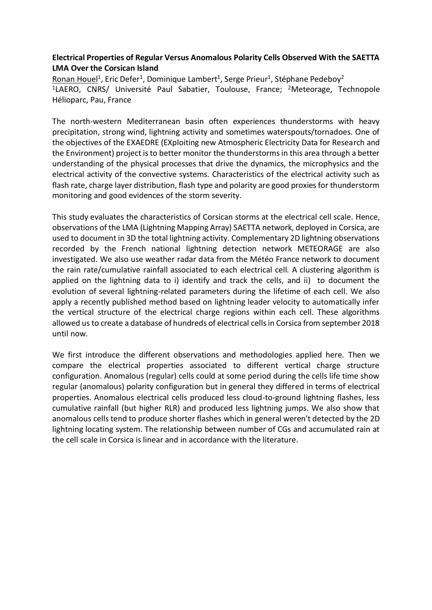## **Electrical Properties of Regular Versus Anomalous Polarity Cells Observed With the SAETTA LMA Over the Corsican Island**

Ronan Houel<sup>1</sup>, Eric Defer<sup>1</sup>, Dominique Lambert<sup>1</sup>, Serge Prieur<sup>1</sup>, Stéphane Pedeboy<sup>2</sup> <sup>1</sup>LAERO, CNRS/ Université Paul Sabatier, Toulouse, France; <sup>2</sup>Meteorage, Technopole Hélioparc, Pau, France

The north-western Mediterranean basin often experiences thunderstorms with heavy precipitation, strong wind, lightning activity and sometimes waterspouts/tornadoes. One of the objectives of the EXAEDRE (EXploiting new Atmospheric Electricity Data for Research and the Environment) project is to better monitor the thunderstorms in this area through a better understanding of the physical processes that drive the dynamics, the microphysics and the electrical activity of the convective systems. Characteristics of the electrical activity such as flash rate, charge layer distribution, flash type and polarity are good proxies for thunderstorm monitoring and good evidences of the storm severity.

This study evaluates the characteristics of Corsican storms at the electrical cell scale. Hence, observations of the LMA (Lightning Mapping Array) SAETTA network, deployed in Corsica, are used to document in 3D the total lightning activity. Complementary 2D lightning observations recorded by the French national lightning detection network METEORAGE are also investigated. We also use weather radar data from the Météo France network to document the rain rate/cumulative rainfall associated to each electrical cell. A clustering algorithm is applied on the lightning data to i) identify and track the cells, and ii) to document the evolution of several lightning-related parameters during the lifetime of each cell. We also apply a recently published method based on lightning leader velocity to automatically infer the vertical structure of the electrical charge regions within each cell. These algorithms allowed us to create a database of hundreds of electrical cells in Corsica from september 2018 until now.

We first introduce the different observations and methodologies applied here. Then we compare the electrical properties associated to different vertical charge structure configuration. Anomalous (regular) cells could at some period during the cells life time show regular (anomalous) polarity configuration but in general they differed in terms of electrical properties. Anomalous electrical cells produced less cloud-to-ground lightning flashes, less cumulative rainfall (but higher RLR) and produced less lightning jumps. We also show that anomalous cells tend to produce shorter flashes which in general weren't detected by the 2D lightning locating system. The relationship between number of CGs and accumulated rain at the cell scale in Corsica is linear and in accordance with the literature.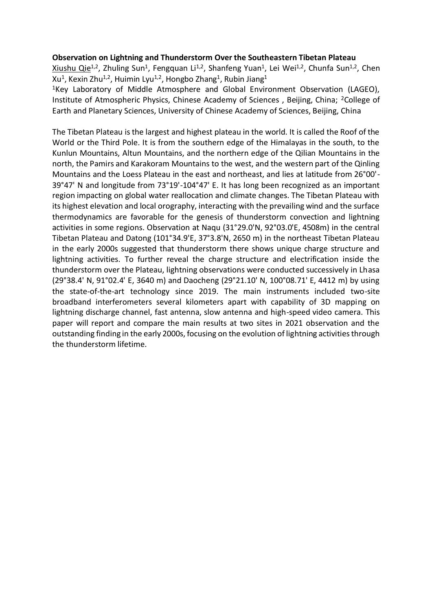#### **Observation on Lightning and Thunderstorm Over the Southeastern Tibetan Plateau**

Xiushu Qie<sup>1,2</sup>, Zhuling Sun<sup>1</sup>, Fengquan Li<sup>1,2</sup>, Shanfeng Yuan<sup>1</sup>, Lei Wei<sup>1,2</sup>, Chunfa Sun<sup>1,2</sup>, Chen Xu<sup>1</sup>, Kexin Zhu<sup>1,2</sup>, Huimin Lyu<sup>1,2</sup>, Hongbo Zhang<sup>1</sup>, Rubin Jiang<sup>1</sup>

<sup>1</sup>Key Laboratory of Middle Atmosphere and Global Environment Observation (LAGEO), Institute of Atmospheric Physics, Chinese Academy of Sciences , Beijing, China; <sup>2</sup>College of Earth and Planetary Sciences, University of Chinese Academy of Sciences, Beijing, China

The Tibetan Plateau is the largest and highest plateau in the world. It is called the Roof of the World or the Third Pole. It is from the southern edge of the Himalayas in the south, to the Kunlun Mountains, Altun Mountains, and the northern edge of the Qilian Mountains in the north, the Pamirs and Karakoram Mountains to the west, and the western part of the Qinling Mountains and the Loess Plateau in the east and northeast, and lies at latitude from 26°00'- 39°47' N and longitude from 73°19'-104°47' E. It has long been recognized as an important region impacting on global water reallocation and climate changes. The Tibetan Plateau with its highest elevation and local orography, interacting with the prevailing wind and the surface thermodynamics are favorable for the genesis of thunderstorm convection and lightning activities in some regions. Observation at Naqu (31°29.0'N, 92°03.0'E, 4508m) in the central Tibetan Plateau and Datong (101°34.9'E, 37°3.8'N, 2650 m) in the northeast Tibetan Plateau in the early 2000s suggested that thunderstorm there shows unique charge structure and lightning activities. To further reveal the charge structure and electrification inside the thunderstorm over the Plateau, lightning observations were conducted successively in Lhasa (29°38.4' N, 91°02.4' E, 3640 m) and Daocheng (29°21.10' N, 100°08.71' E, 4412 m) by using the state-of-the-art technology since 2019. The main instruments included two-site broadband interferometers several kilometers apart with capability of 3D mapping on lightning discharge channel, fast antenna, slow antenna and high-speed video camera. This paper will report and compare the main results at two sites in 2021 observation and the outstanding finding in the early 2000s, focusing on the evolution of lightning activities through the thunderstorm lifetime.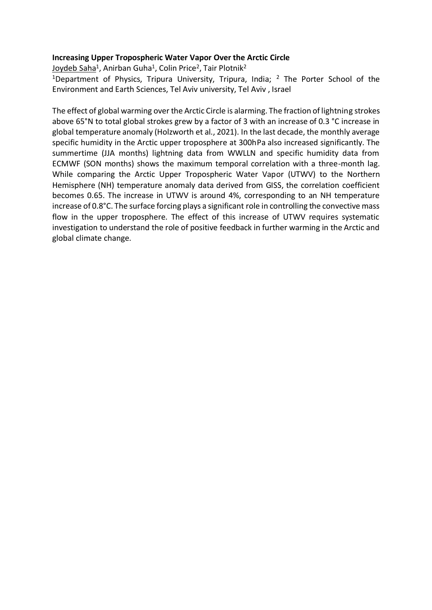#### **Increasing Upper Tropospheric Water Vapor Over the Arctic Circle**

<u>Joydeb Saha</u><sup>1</sup>, Anirban Guha<sup>1</sup>, Colin Price<sup>2</sup>, Tair Plotnik<sup>2</sup>

<sup>1</sup>Department of Physics, Tripura University, Tripura, India; <sup>2</sup> The Porter School of the Environment and Earth Sciences, Tel Aviv university, Tel Aviv , Israel

The effect of global warming over the Arctic Circle is alarming. The fraction of lightning strokes above 65°N to total global strokes grew by a factor of 3 with an increase of 0.3 °C increase in global temperature anomaly (Holzworth et al., 2021). In the last decade, the monthly average specific humidity in the Arctic upper troposphere at 300hPa also increased significantly. The summertime (JJA months) lightning data from WWLLN and specific humidity data from ECMWF (SON months) shows the maximum temporal correlation with a three-month lag. While comparing the Arctic Upper Tropospheric Water Vapor (UTWV) to the Northern Hemisphere (NH) temperature anomaly data derived from GISS, the correlation coefficient becomes 0.65. The increase in UTWV is around 4%, corresponding to an NH temperature increase of 0.8°C. The surface forcing plays a significant role in controlling the convective mass flow in the upper troposphere. The effect of this increase of UTWV requires systematic investigation to understand the role of positive feedback in further warming in the Arctic and global climate change.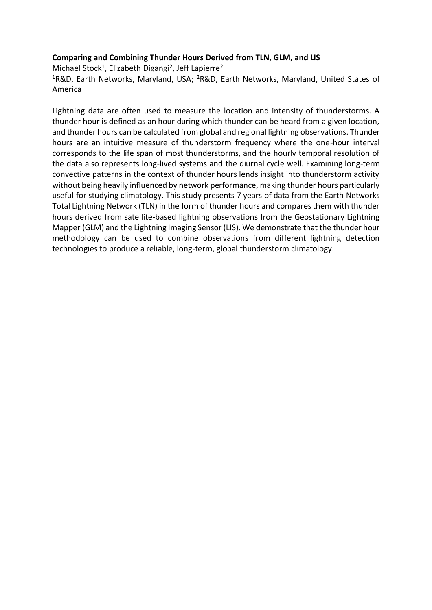#### **Comparing and Combining Thunder Hours Derived from TLN, GLM, and LIS**

Michael Stock<sup>1</sup>, Elizabeth Digangi<sup>2</sup>, Jeff Lapierre<sup>2</sup> <sup>1</sup>R&D, Earth Networks, Maryland, USA; <sup>2</sup>R&D, Earth Networks, Maryland, United States of America

Lightning data are often used to measure the location and intensity of thunderstorms. A thunder hour is defined as an hour during which thunder can be heard from a given location, and thunder hours can be calculated from global and regional lightning observations. Thunder hours are an intuitive measure of thunderstorm frequency where the one-hour interval corresponds to the life span of most thunderstorms, and the hourly temporal resolution of the data also represents long-lived systems and the diurnal cycle well. Examining long-term convective patterns in the context of thunder hours lends insight into thunderstorm activity without being heavily influenced by network performance, making thunder hours particularly useful for studying climatology. This study presents 7 years of data from the Earth Networks Total Lightning Network (TLN) in the form of thunder hours and compares them with thunder hours derived from satellite-based lightning observations from the Geostationary Lightning Mapper (GLM) and the Lightning Imaging Sensor (LIS). We demonstrate that the thunder hour methodology can be used to combine observations from different lightning detection technologies to produce a reliable, long-term, global thunderstorm climatology.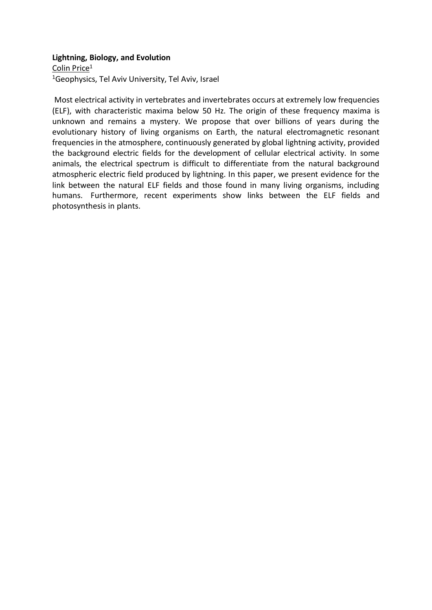#### **Lightning, Biology, and Evolution**

Colin Price<sup>1</sup> <sup>1</sup>Geophysics, Tel Aviv University, Tel Aviv, Israel

Most electrical activity in vertebrates and invertebrates occurs at extremely low frequencies (ELF), with characteristic maxima below 50 Hz. The origin of these frequency maxima is unknown and remains a mystery. We propose that over billions of years during the evolutionary history of living organisms on Earth, the natural electromagnetic resonant frequencies in the atmosphere, continuously generated by global lightning activity, provided the background electric fields for the development of cellular electrical activity. In some animals, the electrical spectrum is difficult to differentiate from the natural background atmospheric electric field produced by lightning. In this paper, we present evidence for the link between the natural ELF fields and those found in many living organisms, including humans. Furthermore, recent experiments show links between the ELF fields and photosynthesis in plants.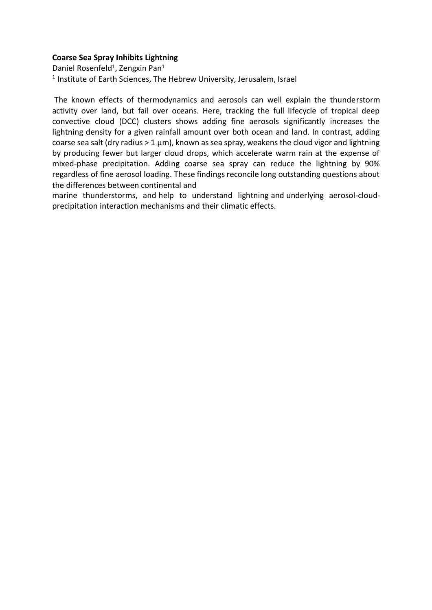#### **Coarse Sea Spray Inhibits Lightning**

Daniel Rosenfeld<sup>1</sup>, Zengxin Pan<sup>1</sup> 1 Institute of Earth Sciences, The Hebrew University, Jerusalem, Israel

The known effects of thermodynamics and aerosols can well explain the thunderstorm activity over land, but fail over oceans. Here, tracking the full lifecycle of tropical deep convective cloud (DCC) clusters shows adding fine aerosols significantly increases the lightning density for a given rainfall amount over both ocean and land. In contrast, adding coarse sea salt (dry radius > 1 μm), known as sea spray, weakens the cloud vigor and lightning by producing fewer but larger cloud drops, which accelerate warm rain at the expense of mixed-phase precipitation. Adding coarse sea spray can reduce the lightning by 90% regardless of fine aerosol loading. These findings reconcile long outstanding questions about the differences between continental and

marine thunderstorms, and help to understand lightning and underlying aerosol-cloudprecipitation interaction mechanisms and their climatic effects.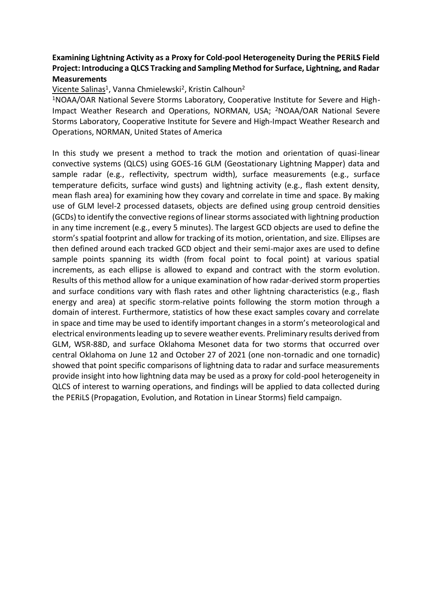## **Examining Lightning Activity as a Proxy for Cold-pool Heterogeneity During the PERiLS Field Project: Introducing a QLCS Tracking and Sampling Method for Surface, Lightning, and Radar Measurements**

<u>Vicente Salinas</u><sup>1</sup>, Vanna Chmielewski<sup>2</sup>, Kristin Calhoun<sup>2</sup>

<sup>1</sup>NOAA/OAR National Severe Storms Laboratory, Cooperative Institute for Severe and High-Impact Weather Research and Operations, NORMAN, USA; <sup>2</sup>NOAA/OAR National Severe Storms Laboratory, Cooperative Institute for Severe and High-Impact Weather Research and Operations, NORMAN, United States of America

In this study we present a method to track the motion and orientation of quasi-linear convective systems (QLCS) using GOES-16 GLM (Geostationary Lightning Mapper) data and sample radar (e.g., reflectivity, spectrum width), surface measurements (e.g., surface temperature deficits, surface wind gusts) and lightning activity (e.g., flash extent density, mean flash area) for examining how they covary and correlate in time and space. By making use of GLM level-2 processed datasets, objects are defined using group centroid densities (GCDs) to identify the convective regions of linear storms associated with lightning production in any time increment (e.g., every 5 minutes). The largest GCD objects are used to define the storm's spatial footprint and allow for tracking of its motion, orientation, and size. Ellipses are then defined around each tracked GCD object and their semi-major axes are used to define sample points spanning its width (from focal point to focal point) at various spatial increments, as each ellipse is allowed to expand and contract with the storm evolution. Results of this method allow for a unique examination of how radar-derived storm properties and surface conditions vary with flash rates and other lightning characteristics (e.g., flash energy and area) at specific storm-relative points following the storm motion through a domain of interest. Furthermore, statistics of how these exact samples covary and correlate in space and time may be used to identify important changes in a storm's meteorological and electrical environments leading up to severe weather events. Preliminary results derived from GLM, WSR-88D, and surface Oklahoma Mesonet data for two storms that occurred over central Oklahoma on June 12 and October 27 of 2021 (one non-tornadic and one tornadic) showed that point specific comparisons of lightning data to radar and surface measurements provide insight into how lightning data may be used as a proxy for cold-pool heterogeneity in QLCS of interest to warning operations, and findings will be applied to data collected during the PERiLS (Propagation, Evolution, and Rotation in Linear Storms) field campaign.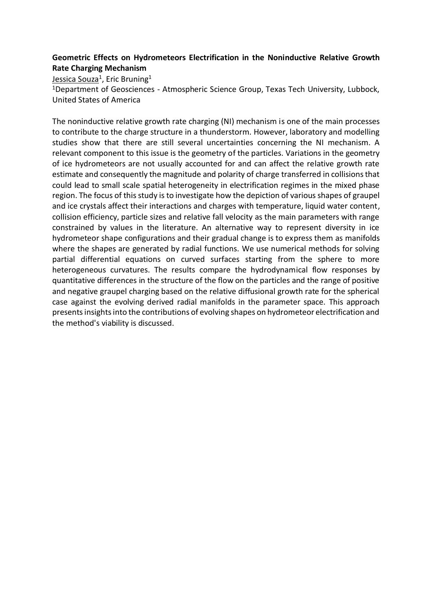## **Geometric Effects on Hydrometeors Electrification in the Noninductive Relative Growth Rate Charging Mechanism**

<u>Jessica Souza</u><sup>1</sup>, Eric Bruning<sup>1</sup>

<sup>1</sup>Department of Geosciences - Atmospheric Science Group, Texas Tech University, Lubbock, United States of America

The noninductive relative growth rate charging (NI) mechanism is one of the main processes to contribute to the charge structure in a thunderstorm. However, laboratory and modelling studies show that there are still several uncertainties concerning the NI mechanism. A relevant component to this issue is the geometry of the particles. Variations in the geometry of ice hydrometeors are not usually accounted for and can affect the relative growth rate estimate and consequently the magnitude and polarity of charge transferred in collisions that could lead to small scale spatial heterogeneity in electrification regimes in the mixed phase region. The focus of this study is to investigate how the depiction of various shapes of graupel and ice crystals affect their interactions and charges with temperature, liquid water content, collision efficiency, particle sizes and relative fall velocity as the main parameters with range constrained by values in the literature. An alternative way to represent diversity in ice hydrometeor shape configurations and their gradual change is to express them as manifolds where the shapes are generated by radial functions. We use numerical methods for solving partial differential equations on curved surfaces starting from the sphere to more heterogeneous curvatures. The results compare the hydrodynamical flow responses by quantitative differences in the structure of the flow on the particles and the range of positive and negative graupel charging based on the relative diffusional growth rate for the spherical case against the evolving derived radial manifolds in the parameter space. This approach presents insights into the contributions of evolving shapes on hydrometeor electrification and the method's viability is discussed.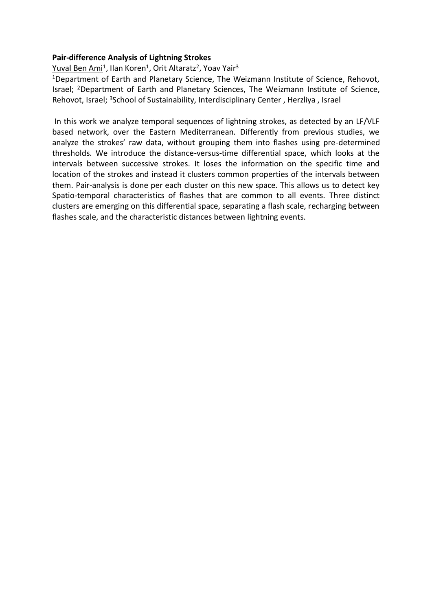#### **Pair-difference Analysis of Lightning Strokes**

# <u>Yuval Ben Ami</u><sup>1</sup>, Ilan Koren<sup>1</sup>, Orit Altaratz<sup>2</sup>, Yoav Yair<sup>3</sup>

<sup>1</sup>Department of Earth and Planetary Science, The Weizmann Institute of Science, Rehovot, Israel; <sup>2</sup>Department of Earth and Planetary Sciences, The Weizmann Institute of Science, Rehovot, Israel; <sup>3</sup>School of Sustainability, Interdisciplinary Center, Herzliya, Israel

In this work we analyze temporal sequences of lightning strokes, as detected by an LF/VLF based network, over the Eastern Mediterranean. Differently from previous studies, we analyze the strokes' raw data, without grouping them into flashes using pre-determined thresholds. We introduce the distance-versus-time differential space, which looks at the intervals between successive strokes. It loses the information on the specific time and location of the strokes and instead it clusters common properties of the intervals between them. Pair-analysis is done per each cluster on this new space. This allows us to detect key Spatio-temporal characteristics of flashes that are common to all events. Three distinct clusters are emerging on this differential space, separating a flash scale, recharging between flashes scale, and the characteristic distances between lightning events.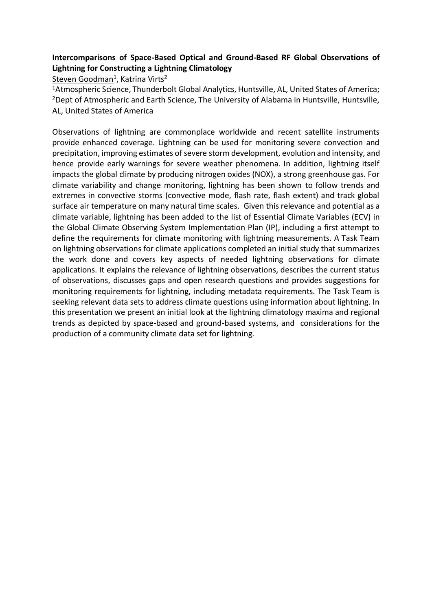## **Intercomparisons of Space-Based Optical and Ground-Based RF Global Observations of Lightning for Constructing a Lightning Climatology**

<u>Steven Goodman</u><sup>1</sup>, Katrina Virts<sup>2</sup>

<sup>1</sup>Atmospheric Science, Thunderbolt Global Analytics, Huntsville, AL, United States of America; <sup>2</sup>Dept of Atmospheric and Earth Science, The University of Alabama in Huntsville, Huntsville, AL, United States of America

Observations of lightning are commonplace worldwide and recent satellite instruments provide enhanced coverage. Lightning can be used for monitoring severe convection and precipitation, improving estimates of severe storm development, evolution and intensity, and hence provide early warnings for severe weather phenomena. In addition, lightning itself impacts the global climate by producing nitrogen oxides (NOX), a strong greenhouse gas. For climate variability and change monitoring, lightning has been shown to follow trends and extremes in convective storms (convective mode, flash rate, flash extent) and track global surface air temperature on many natural time scales. Given this relevance and potential as a climate variable, lightning has been added to the list of Essential Climate Variables (ECV) in the Global Climate Observing System Implementation Plan (IP), including a first attempt to define the requirements for climate monitoring with lightning measurements. A Task Team on lightning observations for climate applications completed an initial study that summarizes the work done and covers key aspects of needed lightning observations for climate applications. It explains the relevance of lightning observations, describes the current status of observations, discusses gaps and open research questions and provides suggestions for monitoring requirements for lightning, including metadata requirements. The Task Team is seeking relevant data sets to address climate questions using information about lightning. In this presentation we present an initial look at the lightning climatology maxima and regional trends as depicted by space-based and ground-based systems, and considerations for the production of a community climate data set for lightning.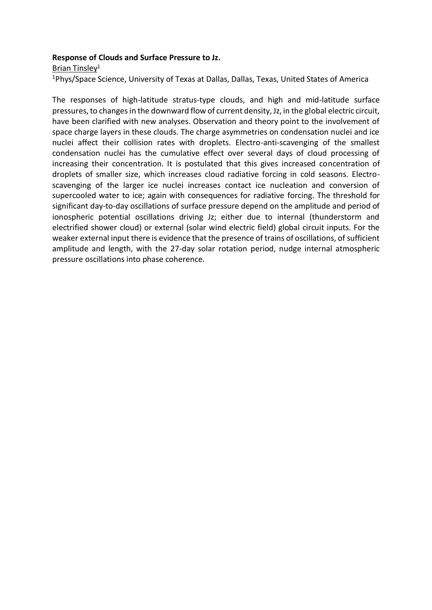#### **Response of Clouds and Surface Pressure to Jz.**

Brian Tinsley<sup>1</sup>

<sup>1</sup>Phys/Space Science, University of Texas at Dallas, Dallas, Texas, United States of America

The responses of high-latitude stratus-type clouds, and high and mid-latitude surface pressures, to changes in the downward flow of current density, Jz, in the global electric circuit, have been clarified with new analyses. Observation and theory point to the involvement of space charge layers in these clouds. The charge asymmetries on condensation nuclei and ice nuclei affect their collision rates with droplets. Electro-anti-scavenging of the smallest condensation nuclei has the cumulative effect over several days of cloud processing of increasing their concentration. It is postulated that this gives increased concentration of droplets of smaller size, which increases cloud radiative forcing in cold seasons. Electroscavenging of the larger ice nuclei increases contact ice nucleation and conversion of supercooled water to ice; again with consequences for radiative forcing. The threshold for significant day-to-day oscillations of surface pressure depend on the amplitude and period of ionospheric potential oscillations driving Jz; either due to internal (thunderstorm and electrified shower cloud) or external (solar wind electric field) global circuit inputs. For the weaker external input there is evidence that the presence of trains of oscillations, of sufficient amplitude and length, with the 27-day solar rotation period, nudge internal atmospheric pressure oscillations into phase coherence.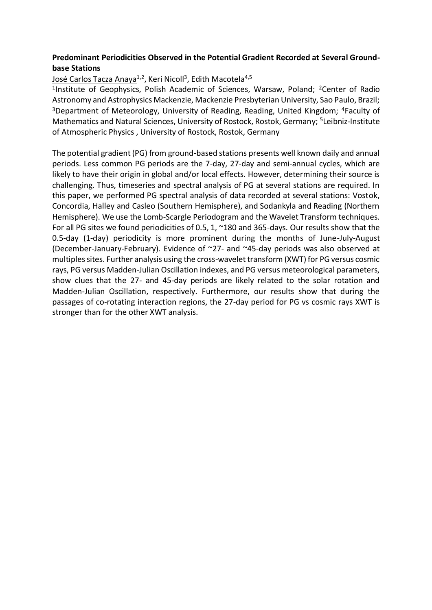## **Predominant Periodicities Observed in the Potential Gradient Recorded at Several Groundbase Stations**

<u>José Carlos Tacza Anaya<sup>1,2</sup>,</u> Keri Nicoll<sup>3</sup>, Edith Macotela<sup>4,5</sup>

<sup>1</sup>Institute of Geophysics, Polish Academic of Sciences, Warsaw, Poland; <sup>2</sup>Center of Radio Astronomy and Astrophysics Mackenzie, Mackenzie Presbyterian University, Sao Paulo, Brazil; <sup>3</sup>Department of Meteorology, University of Reading, Reading, United Kingdom; <sup>4</sup>Faculty of Mathematics and Natural Sciences, University of Rostock, Rostok, Germany; <sup>5</sup>Leibniz-Institute of Atmospheric Physics , University of Rostock, Rostok, Germany

The potential gradient (PG) from ground-based stations presents well known daily and annual periods. Less common PG periods are the 7-day, 27-day and semi-annual cycles, which are likely to have their origin in global and/or local effects. However, determining their source is challenging. Thus, timeseries and spectral analysis of PG at several stations are required. In this paper, we performed PG spectral analysis of data recorded at several stations: Vostok, Concordia, Halley and Casleo (Southern Hemisphere), and Sodankyla and Reading (Northern Hemisphere). We use the Lomb-Scargle Periodogram and the Wavelet Transform techniques. For all PG sites we found periodicities of 0.5, 1, ~180 and 365-days. Our results show that the 0.5-day (1-day) periodicity is more prominent during the months of June-July-August (December-January-February). Evidence of ~27- and ~45-day periods was also observed at multiples sites. Further analysis using the cross-wavelet transform (XWT) for PG versus cosmic rays, PG versus Madden-Julian Oscillation indexes, and PG versus meteorological parameters, show clues that the 27- and 45-day periods are likely related to the solar rotation and Madden-Julian Oscillation, respectively. Furthermore, our results show that during the passages of co-rotating interaction regions, the 27-day period for PG vs cosmic rays XWT is stronger than for the other XWT analysis.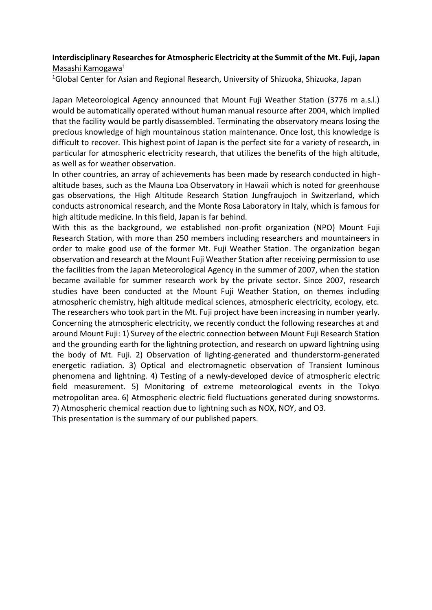### **Interdisciplinary Researches for Atmospheric Electricity at the Summit of the Mt. Fuji, Japan** Masashi Kamogawa<sup>1</sup>

<sup>1</sup>Global Center for Asian and Regional Research, University of Shizuoka, Shizuoka, Japan

Japan Meteorological Agency announced that Mount Fuji Weather Station (3776 m a.s.l.) would be automatically operated without human manual resource after 2004, which implied that the facility would be partly disassembled. Terminating the observatory means losing the precious knowledge of high mountainous station maintenance. Once lost, this knowledge is difficult to recover. This highest point of Japan is the perfect site for a variety of research, in particular for atmospheric electricity research, that utilizes the benefits of the high altitude, as well as for weather observation.

In other countries, an array of achievements has been made by research conducted in highaltitude bases, such as the Mauna Loa Observatory in Hawaii which is noted for greenhouse gas observations, the High Altitude Research Station Jungfraujoch in Switzerland, which conducts astronomical research, and the Monte Rosa Laboratory in Italy, which is famous for high altitude medicine. In this field, Japan is far behind.

With this as the background, we established non-profit organization (NPO) Mount Fuji Research Station, with more than 250 members including researchers and mountaineers in order to make good use of the former Mt. Fuji Weather Station. The organization began observation and research at the Mount Fuji Weather Station after receiving permission to use the facilities from the Japan Meteorological Agency in the summer of 2007, when the station became available for summer research work by the private sector. Since 2007, research studies have been conducted at the Mount Fuji Weather Station, on themes including atmospheric chemistry, high altitude medical sciences, atmospheric electricity, ecology, etc. The researchers who took part in the Mt. Fuji project have been increasing in number yearly. Concerning the atmospheric electricity, we recently conduct the following researches at and around Mount Fuji: 1) Survey of the electric connection between Mount Fuji Research Station and the grounding earth for the lightning protection, and research on upward lightning using the body of Mt. Fuji. 2) Observation of lighting-generated and thunderstorm-generated energetic radiation. 3) Optical and electromagnetic observation of Transient luminous phenomena and lightning. 4) Testing of a newly-developed device of atmospheric electric field measurement. 5) Monitoring of extreme meteorological events in the Tokyo metropolitan area. 6) Atmospheric electric field fluctuations generated during snowstorms. 7) Atmospheric chemical reaction due to lightning such as NOX, NOY, and O3.

This presentation is the summary of our published papers.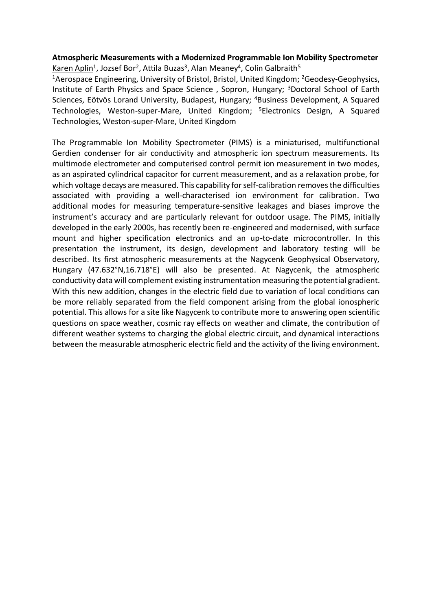# **Atmospheric Measurements with a Modernized Programmable Ion Mobility Spectrometer**

<u>Karen Aplin</u><sup>1</sup>, Jozsef Bor<sup>2</sup>, Attila Buzas<sup>3</sup>, Alan Meaney<sup>4</sup>, Colin Galbraith<sup>5</sup> <sup>1</sup> Aerospace Engineering, University of Bristol, Bristol, United Kingdom; <sup>2</sup>Geodesy-Geophysics, Institute of Earth Physics and Space Science , Sopron, Hungary; <sup>3</sup>Doctoral School of Earth Sciences, Eötvös Lorand University, Budapest, Hungary; <sup>4</sup>Business Development, A Squared Technologies, Weston-super-Mare, United Kingdom; <sup>5</sup>Electronics Design, A Squared Technologies, Weston-super-Mare, United Kingdom

The Programmable Ion Mobility Spectrometer (PIMS) is a miniaturised, multifunctional Gerdien condenser for air conductivity and atmospheric ion spectrum measurements. Its multimode electrometer and computerised control permit ion measurement in two modes, as an aspirated cylindrical capacitor for current measurement, and as a relaxation probe, for which voltage decays are measured. This capability for self-calibration removes the difficulties associated with providing a well-characterised ion environment for calibration. Two additional modes for measuring temperature-sensitive leakages and biases improve the instrument's accuracy and are particularly relevant for outdoor usage. The PIMS, initially developed in the early 2000s, has recently been re-engineered and modernised, with surface mount and higher specification electronics and an up-to-date microcontroller. In this presentation the instrument, its design, development and laboratory testing will be described. Its first atmospheric measurements at the Nagycenk Geophysical Observatory, Hungary (47.632°N,16.718°E) will also be presented. At Nagycenk, the atmospheric conductivity data will complement existing instrumentation measuring the potential gradient. With this new addition, changes in the electric field due to variation of local conditions can be more reliably separated from the field component arising from the global ionospheric potential. This allows for a site like Nagycenk to contribute more to answering open scientific questions on space weather, cosmic ray effects on weather and climate, the contribution of different weather systems to charging the global electric circuit, and dynamical interactions between the measurable atmospheric electric field and the activity of the living environment.